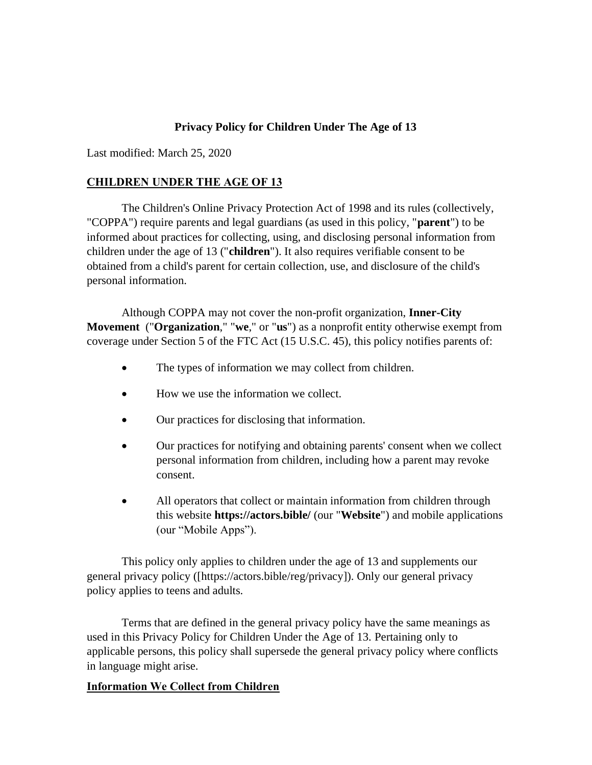# **Privacy Policy for Children Under The Age of 13**

Last modified: March 25, 2020

## **CHILDREN UNDER THE AGE OF 13**

The Children's Online Privacy Protection Act of 1998 and its rules (collectively, "COPPA") require parents and legal guardians (as used in this policy, "**parent**") to be informed about practices for collecting, using, and disclosing personal information from children under the age of 13 ("**children**"). It also requires verifiable consent to be obtained from a child's parent for certain collection, use, and disclosure of the child's personal information.

Although COPPA may not cover the non-profit organization, **Inner-City Movement** ("**Organization**," "**we**," or "**us**") as a nonprofit entity otherwise exempt from coverage under Section 5 of the FTC Act (15 U.S.C. 45), this policy notifies parents of:

- The types of information we may collect from children.
- How we use the information we collect.
- Our practices for disclosing that information.
- Our practices for notifying and obtaining parents' consent when we collect personal information from children, including how a parent may revoke consent.
- All operators that collect or maintain information from children through this website **https://actors.bible/** (our "**Website**") and mobile applications (our "Mobile Apps").

This policy only applies to children under the age of 13 and supplements our general privacy policy ([https://actors.bible/reg/privacy]). Only our general privacy policy applies to teens and adults.

Terms that are defined in the general privacy policy have the same meanings as used in this Privacy Policy for Children Under the Age of 13. Pertaining only to applicable persons, this policy shall supersede the general privacy policy where conflicts in language might arise.

## **Information We Collect from Children**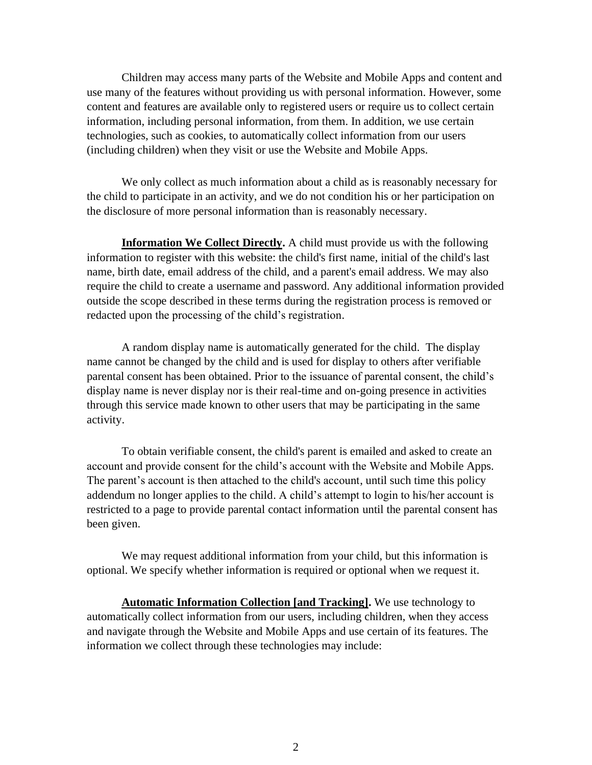Children may access many parts of the Website and Mobile Apps and content and use many of the features without providing us with personal information. However, some content and features are available only to registered users or require us to collect certain information, including personal information, from them. In addition, we use certain technologies, such as cookies, to automatically collect information from our users (including children) when they visit or use the Website and Mobile Apps.

We only collect as much information about a child as is reasonably necessary for the child to participate in an activity, and we do not condition his or her participation on the disclosure of more personal information than is reasonably necessary.

**Information We Collect Directly.** A child must provide us with the following information to register with this website: the child's first name, initial of the child's last name, birth date, email address of the child, and a parent's email address. We may also require the child to create a username and password. Any additional information provided outside the scope described in these terms during the registration process is removed or redacted upon the processing of the child's registration.

A random display name is automatically generated for the child. The display name cannot be changed by the child and is used for display to others after verifiable parental consent has been obtained. Prior to the issuance of parental consent, the child's display name is never display nor is their real-time and on-going presence in activities through this service made known to other users that may be participating in the same activity.

To obtain verifiable consent, the child's parent is emailed and asked to create an account and provide consent for the child's account with the Website and Mobile Apps. The parent's account is then attached to the child's account, until such time this policy addendum no longer applies to the child. A child's attempt to login to his/her account is restricted to a page to provide parental contact information until the parental consent has been given.

We may request additional information from your child, but this information is optional. We specify whether information is required or optional when we request it.

**Automatic Information Collection [and Tracking].** We use technology to automatically collect information from our users, including children, when they access and navigate through the Website and Mobile Apps and use certain of its features. The information we collect through these technologies may include: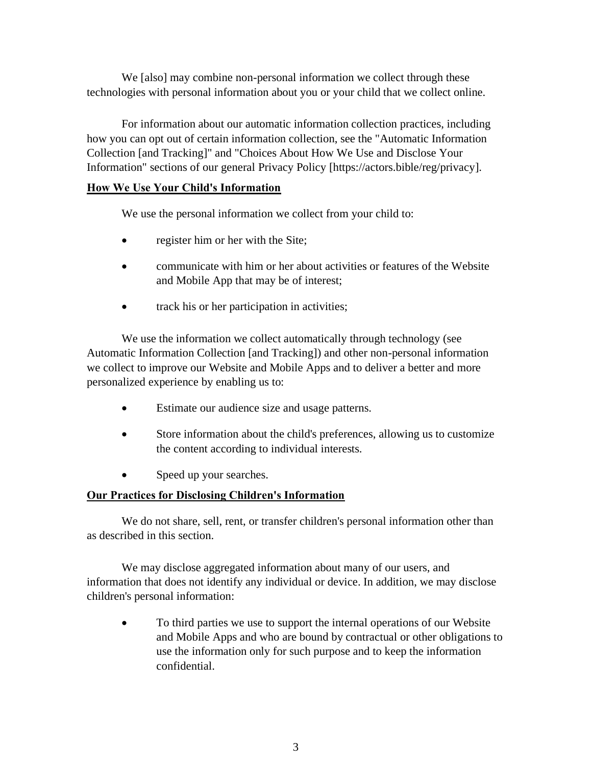We [also] may combine non-personal information we collect through these technologies with personal information about you or your child that we collect online.

For information about our automatic information collection practices, including how you can opt out of certain information collection, see the "Automatic Information Collection [and Tracking]" and "Choices About How We Use and Disclose Your Information" sections of our general Privacy Policy [https://actors.bible/reg/privacy].

#### **How We Use Your Child's Information**

We use the personal information we collect from your child to:

- register him or her with the Site;
- communicate with him or her about activities or features of the Website and Mobile App that may be of interest;
- track his or her participation in activities;

We use the information we collect automatically through technology (see Automatic Information Collection [and Tracking]) and other non-personal information we collect to improve our Website and Mobile Apps and to deliver a better and more personalized experience by enabling us to:

- Estimate our audience size and usage patterns.
- Store information about the child's preferences, allowing us to customize the content according to individual interests.
- Speed up your searches.

### **Our Practices for Disclosing Children's Information**

We do not share, sell, rent, or transfer children's personal information other than as described in this section.

We may disclose aggregated information about many of our users, and information that does not identify any individual or device. In addition, we may disclose children's personal information:

• To third parties we use to support the internal operations of our Website and Mobile Apps and who are bound by contractual or other obligations to use the information only for such purpose and to keep the information confidential.